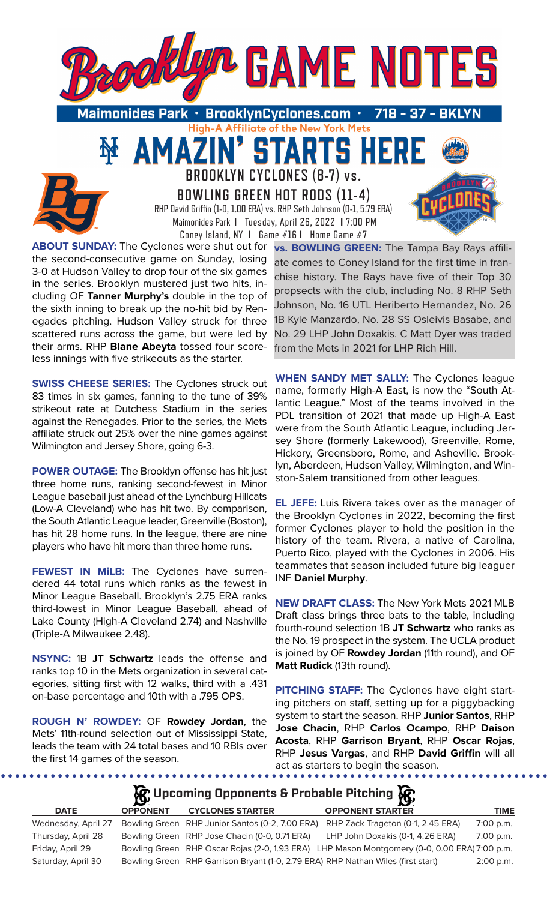

High-A Affiliate of the New York Mets

**N' STARTS HER** 

**BROOKLYN CYCLONES (8-7) vs.** 

**BOWLING GREEN HOT RODS (11-4)**

RHP David Griffin (1-0, 1.00 ERA) vs. RHP Seth Johnson (0-1, 5.79 ERA) Maimonides Park **I** Tuesday, April 26, 2022 **I** 7:00 PM Coney Island, NY **I** Game #16 **I** Home Game #7 **ABOUT SUNDAY:** The Cyclones were shut out for the second-consecutive game on Sunday, losing 3-0 at Hudson Valley to drop four of the six games in the series. Brooklyn mustered just two hits, including OF **Tanner Murphy's** double in the top of the sixth inning to break up the no-hit bid by Renegades pitching. Hudson Valley struck for three

AMAZI

scattered runs across the game, but were led by their arms. RHP **Blane Abeyta** tossed four scoreless innings with five strikeouts as the starter.

**SWISS CHEESE SERIES:** The Cyclones struck out 83 times in six games, fanning to the tune of 39% strikeout rate at Dutchess Stadium in the series against the Renegades. Prior to the series, the Mets affiliate struck out 25% over the nine games against Wilmington and Jersey Shore, going 6-3.

**POWER OUTAGE:** The Brooklyn offense has hit just three home runs, ranking second-fewest in Minor League baseball just ahead of the Lynchburg Hillcats (Low-A Cleveland) who has hit two. By comparison, the South Atlantic League leader, Greenville (Boston), has hit 28 home runs. In the league, there are nine players who have hit more than three home runs.

**FEWEST IN MiLB:** The Cyclones have surrendered 44 total runs which ranks as the fewest in Minor League Baseball. Brooklyn's 2.75 ERA ranks third-lowest in Minor League Baseball, ahead of Lake County (High-A Cleveland 2.74) and Nashville (Triple-A Milwaukee 2.48).

**NSYNC:** 1B **JT Schwartz** leads the offense and ranks top 10 in the Mets organization in several categories, sitting first with 12 walks, third with a .431 on-base percentage and 10th with a .795 OPS.

**ROUGH N' ROWDEY:** OF **Rowdey Jordan**, the Mets' 11th-round selection out of Mississippi State, leads the team with 24 total bases and 10 RBIs over the first 14 games of the season.

........

. . . . . . . . . . .

**vs. BOWLING GREEN:** The Tampa Bay Rays affiliate comes to Coney Island for the first time in franchise history. The Rays have five of their Top 30 propsects with the club, including No. 8 RHP Seth Johnson, No. 16 UTL Heriberto Hernandez, No. 26 1B Kyle Manzardo, No. 28 SS Osleivis Basabe, and No. 29 LHP John Doxakis. C Matt Dyer was traded from the Mets in 2021 for LHP Rich Hill.

**WHEN SANDY MET SALLY:** The Cyclones league name, formerly High-A East, is now the "South Atlantic League." Most of the teams involved in the PDL transition of 2021 that made up High-A East were from the South Atlantic League, including Jersey Shore (formerly Lakewood), Greenville, Rome, Hickory, Greensboro, Rome, and Asheville. Brooklyn, Aberdeen, Hudson Valley, Wilmington, and Winston-Salem transitioned from other leagues.

**EL JEFE:** Luis Rivera takes over as the manager of the Brooklyn Cyclones in 2022, becoming the first former Cyclones player to hold the position in the history of the team. Rivera, a native of Carolina, Puerto Rico, played with the Cyclones in 2006. His teammates that season included future big leaguer INF **Daniel Murphy**.

**NEW DRAFT CLASS:** The New York Mets 2021 MLB Draft class brings three bats to the table, including fourth-round selection 1B **JT Schwartz** who ranks as the No. 19 prospect in the system. The UCLA product is joined by OF **Rowdey Jordan** (11th round), and OF **Matt Rudick** (13th round).

**PITCHING STAFF:** The Cyclones have eight starting pitchers on staff, setting up for a piggybacking system to start the season. RHP **Junior Santos**, RHP **Jose Chacin**, RHP **Carlos Ocampo**, RHP **Daison Acosta**, RHP **Garrison Bryant**, RHP **Oscar Rojas**, RHP **Jesus Vargas**, and RHP **David Griffin** will all act as starters to begin the season.

# **Upcoming Opponents & Probable Pitching**

**DATE OPPONENT CYCLONES STARTER OPPONENT STARTER TIME** Wednesday, April 27 Bowling Green RHP Junior Santos (0-2, 7.00 ERA) RHP Zack Trageton (0-1, 2.45 ERA) 7:00 p.m. Thursday, April 28 Bowling Green RHP Jose Chacin (0-0, 0.71 ERA) LHP John Doxakis (0-1, 4.26 ERA) 7:00 p.m. Friday, April 29 Bowling Green RHP Oscar Rojas (2-0, 1.93 ERA) LHP Mason Montgomery (0-0, 0.00 ERA) 7:00 p.m. Saturday, April 30 Bowling Green RHP Garrison Bryant (1-0, 2.79 ERA) RHP Nathan Wiles (first start) 2:00 p.m.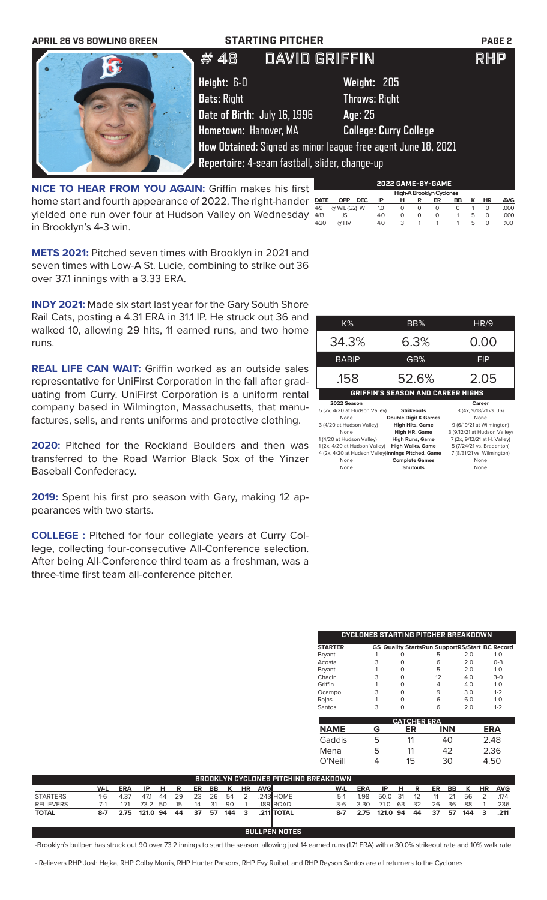| <b>APRIL 26 VS BOWLING GREEN</b> | <b>STARTING PITCHER</b>                                                                                         |                                          | <b>PAGE 2</b> |
|----------------------------------|-----------------------------------------------------------------------------------------------------------------|------------------------------------------|---------------|
|                                  | <b>DAVID GRIFFIN</b><br># 48                                                                                    |                                          | <b>RHP</b>    |
|                                  | Height: 6-0<br><b>Bats: Right</b>                                                                               | Weight: 205<br><b>Throws: Right</b>      |               |
|                                  | Date of Birth: July 16, 1996<br>Hometown: Hanover, MA                                                           | Age: 25<br><b>College: Curry College</b> |               |
|                                  | How Obtained: Signed as minor league free agent June 18, 2021<br>Repertoire: 4-seam fastball, slider, change-up |                                          |               |
|                                  |                                                                                                                 | 2022 CAME-RV-GAME                        |               |

**NICE TO HEAR FROM YOU AGAIN:** Griffin makes his first home start and fourth appearance of 2022. The right-hander yielded one run over four at Hudson Valley on Wednesday in Brooklyn's 4-3 win.

|             |              |            |     |   |   | 2022 GAME-BY-GAME        |    |   |    |            |
|-------------|--------------|------------|-----|---|---|--------------------------|----|---|----|------------|
|             |              |            |     |   |   | High-A Brooklyn Cyclones |    |   |    |            |
| <b>DATE</b> | OPP          | <b>DEC</b> | ΙP  | н | R | ER                       | BB | к | HR | <b>AVG</b> |
| 4/9         | @ WIL (G2) W |            | 1.0 |   | O |                          |    |   |    | .000       |
| 4/13        | JS.          |            | 4.0 | Ω | O |                          |    |   |    | .000       |
| 4/20        | @HV          |            | 4.0 | 3 |   |                          |    |   |    | .100       |

**METS 2021:** Pitched seven times with Brooklyn in 2021 and seven times with Low-A St. Lucie, combining to strike out 36 over 37.1 innings with a 3.33 ERA.

**INDY 2021:** Made six start last year for the Gary South Shore Rail Cats, posting a 4.31 ERA in 31.1 IP. He struck out 36 and walked 10, allowing 29 hits, 11 earned runs, and two home runs.

**REAL LIFE CAN WAIT:** Griffin worked as an outside sales representative for UniFirst Corporation in the fall after graduating from Curry. UniFirst Corporation is a uniform rental company based in Wilmington, Massachusetts, that manufactures, sells, and rents uniforms and protective clothing.

**2020:** Pitched for the Rockland Boulders and then was transferred to the Road Warrior Black Sox of the Yinzer Baseball Confederacy.

**2019:** Spent his first pro season with Gary, making 12 appearances with two starts.

**COLLEGE :** Pitched for four collegiate years at Curry College, collecting four-consecutive All-Conference selection. After being All-Conference third team as a freshman, was a three-time first team all-conference pitcher.

| K%                                                  | BB%                                      | <b>HR/9</b>                  |
|-----------------------------------------------------|------------------------------------------|------------------------------|
| 34.3%                                               | 6.3%                                     | 0.00                         |
| <b>BABIP</b>                                        | GB%                                      | <b>FIP</b>                   |
| .158                                                | 52.6%                                    | 2.05                         |
|                                                     | <b>GRIFFIN'S SEASON AND CAREER HIGHS</b> |                              |
| 2022 Season                                         |                                          | Career                       |
| 5 (2x, 4/20 at Hudson Valley)                       | <b>Strikeouts</b>                        | 8 (4x, 9/18/21 vs. JS)       |
| None                                                | <b>Double Digit K Games</b>              | None                         |
| 3 (4/20 at Hudson Valley)                           | <b>High Hits, Game</b>                   | 9 (6/19/21 at Wilmington)    |
| None                                                | High HR, Game                            | 3 (9/12/21 at Hudson Valley) |
| 1 (4/20 at Hudson Valley)                           | High Runs, Game                          | 7 (2x, 9/12/21 at H. Valley) |
| 1 (2x, 4/20 at Hudson Valley)                       | <b>High Walks, Game</b>                  | 5 (7/24/21 vs. Bradenton)    |
| 4 (2x, 4/20 at Hudson Valley) Innings Pitched, Game |                                          | 7 (8/31/21 vs. Wilmington)   |
|                                                     |                                          |                              |
| None                                                | <b>Complete Games</b>                    | None                         |

|                |   |   | CYCLONES STARTING PITCHER BREAKDOWN |     |                                                       |
|----------------|---|---|-------------------------------------|-----|-------------------------------------------------------|
| <b>STARTER</b> |   |   |                                     |     | <b>GS Quality StartsRun SupportRS/Start BC Record</b> |
| Bryant         |   |   | 5                                   | 20  | $1 - 0$                                               |
| Acosta         | З |   | 6                                   | 2.0 | $0 - 3$                                               |
| Bryant         |   |   | 5                                   | 2.0 | $1 - 0$                                               |
| Chacin         | 3 | ∩ | 12                                  | 4.0 | $3 - 0$                                               |
| Griffin        |   | ∩ |                                     | 4.0 | $1 - 0$                                               |
| Ocampo         | З |   | 9                                   | 3.0 | $1-2$                                                 |
| Rojas          |   |   | 6                                   | 6.0 | $1 - 0$                                               |
| Santos         | 3 |   | 6                                   | 20  | $1 - 2$                                               |

| <b>CATCHER ERA</b> |    |    |     |            |  |  |
|--------------------|----|----|-----|------------|--|--|
| <b>NAME</b>        | G  | ER | INN | <b>ERA</b> |  |  |
| Gaddis             | h. | 11 | 40  | 2.48       |  |  |
| Mena               | 5  | 11 | 42  | 2.36       |  |  |
| O'Neill            |    | 15 | 30  | . 50       |  |  |

|                  | BROOKLYN CYCLONES PITCHING BREAKDOWN. |            |          |    |    |    |      |     |           |            |             |       |      |          |    |    |    |     |     |           |            |
|------------------|---------------------------------------|------------|----------|----|----|----|------|-----|-----------|------------|-------------|-------|------|----------|----|----|----|-----|-----|-----------|------------|
|                  | W-L                                   | <b>ERA</b> | ΙP       | н  | R  | ER | BB   | K   | <b>HR</b> | <b>AVG</b> |             | W-L   | ERA  | -IP      | н  | R. | ER | BB. | K   | <b>HR</b> | <b>AVG</b> |
| <b>STARTERS</b>  | $1 - 6$                               | 4.37       | 471      | 44 | 29 | 23 | - 26 | -54 |           |            | .243 HOME   | $5-1$ | 1.98 | 50.0 31  |    |    |    | 21  | 56  |           | 174        |
| <b>RELIEVERS</b> |                                       | .71        | 73.2     | 50 | 15 | 14 | 31   | 90  |           |            | $.189$ ROAD | $3-6$ | 3.30 | 71.0     | 63 | 32 | 26 | 36  | 88  |           | 236        |
| <b>TOTAL</b>     | $8-7$                                 | 2.75       | 121.0 94 |    | 44 | 37 | 57   | 144 |           |            | .211 TOTAL  | 8-7   | 2.75 | 121.0 94 |    | 44 | 37 | 57  | 144 | 3         | .211       |
|                  |                                       |            |          |    |    |    |      |     |           |            |             |       |      |          |    |    |    |     |     |           |            |

**BULLPEN NOTES**

-Brooklyn's bullpen has struck out 90 over 73.2 innings to start the season, allowing just 14 earned runs (1.71 ERA) with a 30.0% strikeout rate and 10% walk rate.

- Relievers RHP Josh Hejka, RHP Colby Morris, RHP Hunter Parsons, RHP Evy Ruibal, and RHP Reyson Santos are all returners to the Cyclones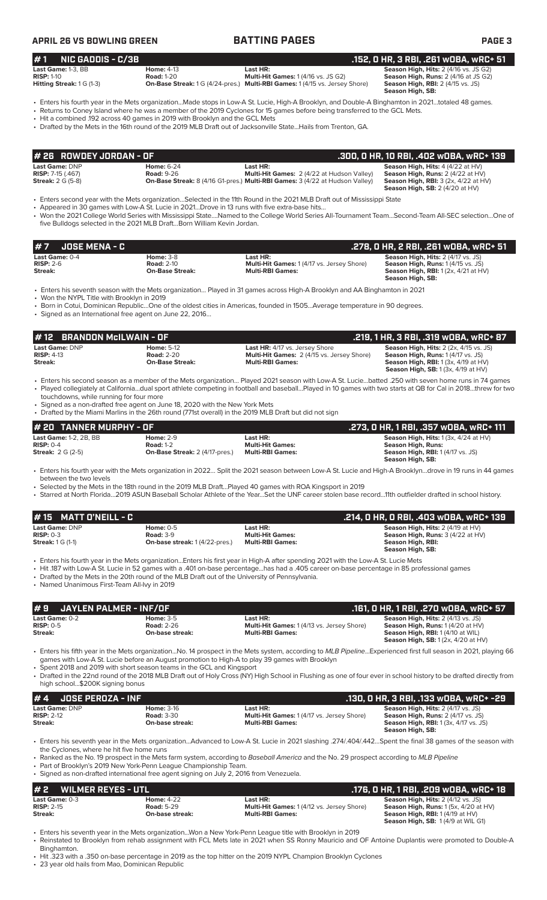### **APRIL 26 VS BOWLING GREEN BATTING PAGES PAGE 3 # 7 JOSE MENA - C .278, 0 HR, 2 RBI, .261 wOBA, wRC+ 51 Last Game:** 0-4 **Home:** 3-8 **Last HR: Season High, Hits:** 2 (4/17 vs. JS) **Road:** 2-10<br> **Read:** 2-10 **Multi-Hit Games:** 1 (4/17 vs. Jersey Shore) **Season High, Runs:** 1 (4/15 vs. JS) **RISP:**  $2-6$  **Road:**  $2-10$  **Multi-Hit Games:** 1 (4/17 vs. Jersey Shore) **Streak: Streak: Streak: Multi-RBI Games:** 1 **Season High, Runs: 2 (4/17 vs. 33)**<br>**Season High, Runs: 1 (4/15 vs. 35)**<br>**Season High, RBI:** 1 (2x, 4/21 at HV) **Season High, SB:**  • Enters his seventh season with the Mets organization… Played in 31 games across High-A Brooklyn and AA Binghamton in 2021 • Won the NYPL Title with Brooklyn in 2019 • Born in Cotui, Dominican Republic…One of the oldest cities in Americas, founded in 1505…Average temperature in 90 degrees. • Signed as an International free agent on June 22, 2016… **Last Game:** 1-2, 2B, BB **Home:** 2-9 **Last HR: Season High, Hits:** 1 (3x, 4/24 at HV) **RISP:** 0-4 **Road:** 1-2 **Multi-Hit Games: Season High, Runs: Season High, RBI:** 1 (4/17 vs. JS) **Season High, SB:**  • Enters his fourth year with the Mets organization in 2022… Split the 2021 season between Low-A St. Lucie and High-A Brooklyn…drove in 19 runs in 44 games between the two levels • Selected by the Mets in the 18th round in the 2019 MLB Draft…Played 40 games with ROA Kingsport in 2019 • Starred at North Florida…2019 ASUN Baseball Scholar Athlete of the Year…Set the UNF career stolen base record…11th outfielder drafted in school history. **# 20 TANNER MURPHY - OF .273, 0 HR, 1 RBI, .357 wOBA, wRC+ 111 # 1 NIC GADDIS - C/3B .152, 0 HR, 3 RBI, .261 wOBA, wRC+ 51 Last Game:** 1-3, BB **Home:** 4-13 **Last HR: Season High, Hits:** 2 (4/16 vs. JS G2) **Season High, Hits:** 2 (4/16 vs. JS G2) **Season High, Hits:** 2 (4/16 vs. JS G2) **RISP:** 1-10 **Road:** 1-20 **Multi-Hit Games:** 1 (4/16 vs. JS G2) **Season High, Runs:** 2 (4/16 at JS G2) **On-Base Streak:** 1 G (4/24-pres.) **Multi-RBI Games:** 1 (4/15 vs. Jersey Shore) **Season High, SB:**  • Enters his fourth year in the Mets organization...Made stops in Low-A St. Lucie, High-A Brooklyn, and Double-A Binghamton in 2021…totaled 48 games. • Returns to Coney Island where he was a member of the 2019 Cyclones for 15 games before being transferred to the GCL Mets. • Hit a combined .192 across 40 games in 2019 with Brooklyn and the GCL Mets • Drafted by the Mets in the 16th round of the 2019 MLB Draft out of Jacksonville State...Hails from Trenton, GA. Last Game: DNP **Home:** 6-24 **Last HR: Last HR: Cames: 2** (4/22 at Hudson Valley) **Season High, Hits: 4** (4/22 at HV)<br>**RISP:** 7-15 (.467) **Richolar Bannes: 2 (4/22 at Hudson Valley) Season High, Runs: 2 (4/22 at HV)<br><b>Streak RISP:** 7-15 (.467) **Road:** 9-26 **Multi-Hit Games:** 2 (4/22 at Hudson Valley) **Season High, Runs:** 2 (4/22 at HV) **Streak:** 2 G (5-8) **On-Base Streak:** 8 (4/16 G1-pres.) **Multi-RBI Games:** 3 (4/22 at Hudson Valley) **Season High, RBI:** 3 (2x, 4/22 at HV) **Season High, SB:** 2 (4/20 at HV) • Enters second year with the Mets organization…Selected in the 11th Round in the 2021 MLB Draft out of Mississippi State • Appeared in 30 games with Low-A St. Lucie in 2021…Drove in 13 runs with five extra-base hits… • Won the 2021 College World Series with Mississippi State….Named to the College World Series All-Tournament Team…Second-Team All-SEC selection…One of five Bulldogs selected in the 2021 MLB Draft…Born William Kevin Jordan. **# 26 ROWDEY JORDAN - OF .300, 0 HR, 10 RBI, .402 wOBA, wRC+ 139 Last Game:** DNP **Home:** 5-12 **Last HR:** 4/17 vs. Jersey Shore **Season High, Hits:** 2 (2x, 4/15 vs. JS) **RISP:** 4-13 **Road:** 2-20 **Multi-Hit Games:** 2 (4/15 vs. Jersey Shore) **Season High, Runs:** 1 (4/17 vs. JS) Alternative Collection of the Multi-RBI Games: **Capital Streak:** Season High, RBI: 1 (3x, 4/19 at HV)<br>On-Base Streak: **Multi-RBI** Games: Season High, SB: 1 (3x, 4/19 at HV)<br>Season High, SB: 1 (3x, 4/19 at HV) **Season High, SB:** 1 (3x, 4/19 at HV) • Enters his second season as a member of the Mets organization… Played 2021 season with Low-A St. Lucie…batted .250 with seven home runs in 74 games • Played collegiately at California…dual sport athlete competing in football and baseball…Played in 10 games with two starts at QB for Cal in 2018…threw for two touchdowns, while running for four more Signed as a non-drafted free agent on June 18, 2020 with the New York Mets • Drafted by the Miami Marlins in the 26th round (771st overall) in the 2019 MLB Draft but did not sign **# 12 BRANDON McILWAIN - OF**<br> **1219, 1 HR, 3 RBI, .319 wOBA, wRC+ 87**<br> **1219, 1 HR, 3 RBI, .319 wOBA, wRC+ 87**<br> **1219, 1 HR, 3 RBI, .319 wOBA, wRC+ 87**<br> **1219, 1 HR, 3 RBI, .319 wOBA, wRC+ 87**<br> **1219, 1 HR, 3 RBI, .319 wOB Last Game:** DNP **Home:** 0-5 **Last HR: Season High, Hits:** 2 (4/19 at HV) **RISP:** 0-3 **Road:** 3-9 **Multi-Hit Games: Season High, Runs:** 3 (4/22 at HV) **Streak:** 1 G (1-1) **On-base streak:** 1 (4/22-pres.) **Multi-RBI Games: Season High, RBI: Season High, SB:**  • Enters his fourth year in the Mets organization...Enters his first year in High-A after spending 2021 with the Low-A St. Lucie Mets • Hit .187 with Low-A St. Lucie in 52 games with a .401 on-base percentage...has had a .405 career on-base percentage in 85 professional games • Drafted by the Mets in the 20th round of the MLB Draft out of the University of Pennsylvania. • Named Unanimous First-Team All-Ivy in 2019 **# 15 MATT O'NEILL - C .214, 0 HR, 0 RBI, .403 wOBA, wRC+ 139 # 9 JAYLEN PALMER - INF/OF .161, 0 HR, 1 RBI, .270 wOBA, wRC+ 57 Last Game: 0-2 Home: 3-5 Last HR: <b>Last HR: Season High, Hits:** 2 (4/13 vs. JS)<br> **RISP:** 0-5 **Season High, Runs: 1 (4/20 at HV**) **Road: 2-26 Multi-Hit Games: 1 (4/13 vs. Jersey Shore) Season High, Runs: 1 (4/20 Road:** 2-26 **Multi-Hit Games:** 1 (4/13 vs. Jersey Shore) **Shore: Shore: 2-26 Multi-RBI Games:** 1 **Season High, Runs: 1 (4/20 at HV)**<br>**Season High, Runs: 1 (4/20 at HV)**<br>**Season High, RBI: 1 (4/10 at WIL) Season High, SB:** 1 (2x, 4/20 at HV) • Enters his fifth year in the Mets organization...No. 14 prospect in the Mets system, according to *MLB Pipeline*...Experienced first full season in 2021, playing 66 games with Low-A St. Lucie before an August promotion to High-A to play 39 games with Brooklyn • Spent 2018 and 2019 with short season teams in the GCL and Kingsport • Drafted in the 22nd round of the 2018 MLB Draft out of Holy Cross (NY) High School in Flushing as one of four ever in school history to be drafted directly from high school...\$200K signing bonus **# 4 JOSE PEROZA - INF .130, 0 HR, 3 RBI, .133 wOBA, wRC+ -29 Last Game:** DNP **Home:** 3-16 **Last HR: Season High, Hits:** 2 (4/17 vs. JS) **RISP:** 2-12 **Road:** 3-30 **Multi-Hit Games:** 1 (4/17 vs. Jersey Shore) **Season High, Runs:** 2 (4/17 vs. JS) **Streak:** On-base streak: Multi-RBI Games: Season High, RBI: 1 (3x, 4/17 vs. JS)<br> **Streak: Season High, RBI:** 1 (3x, 4/17 vs. JS) **Season High, SB:**  • Enters his seventh year in the Mets organization...Advanced to Low-A St. Lucie in 2021 slashing .274/.404/.442…Spent the final 38 games of the season with the Cyclones, where he hit five home runs • Ranked as the No. 19 prospect in the Mets farm system, according to *Baseball America* and the No. 29 prospect according to *MLB Pipeline* Part of Brooklyn's 2019 New York-Penn League Championship Team. • Signed as non-drafted international free agent signing on July 2, 2016 from Venezuela. **# 2 WILMER REYES - UTL .176, 0 HR, 1 RBI, .209 wOBA, wRC+ 18 Last Game:** 0-3 **Home:** 4-22 **Last HR: Season High, Hits:** 2 (4/12 vs. JS)<br>**RISP:** 2-15 **Righter and Band:** 5-29 **Multi-Hit Games:** 1 (4/12 vs. Jersey Shore) **Season High, Runs:** 1 (5x, 4/20 at HV) **RISP:** 2-15 **Road:** 5-29 **Road: 5-29 <b>Multi-Hit Games:** 1 (4/12 vs. Jersey Shore) **Road:** 5-29 **Multi-RBI Games:** 1 (4/12 vs. Jersey Shore) **Season High, RBI:** 1 (4/19 at HV) **Season High, SB:** 1 (4/9 at WIL G1) • Enters his seventh year in the Mets organization...Won a New York-Penn League title with Brooklyn in 2019 • Reinstated to Brooklyn from rehab assignment with FCL Mets late in 2021 when SS Ronny Mauricio and OF Antoine Duplantis were promoted to Double-A Binghamton. • Hit .323 with a .350 on-base percentage in 2019 as the top hitter on the 2019 NYPL Champion Brooklyn Cyclones

23 year old hails from Mao, Dominican Republic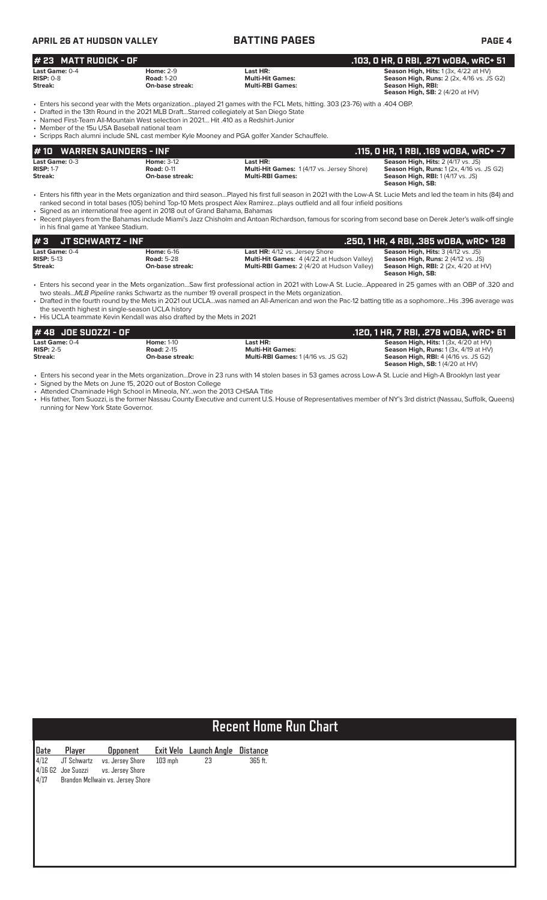# **APRIL 26 AT HUDSON VALLEY BATTING PAGES PAGE 4**

### **Last Game:** 0-4 **Home:** 2-9 **Last HR: Season High, Hits:** 1 (3x, 4/22 at HV) **RISP:** 0-8 **Road:** 1-20 **Multi-Hit Games: Season High, Runs:** 2 (2x, 4/16 vs. JS G2) **Streak: On-base streak: Multi-RBI Games: Season High, RBI: Season High, SB:** 2 (4/20 at HV) • Enters his second year with the Mets organization…played 21 games with the FCL Mets, hitting. 303 (23-76) with a .404 OBP. • Drafted in the 13th Round in the 2021 MLB Draft…Starred collegiately at San Diego State • Named First-Team All-Mountain West selection in 2021… Hit .410 as a Redshirt-Junior • Member of the 15u USA Baseball national team • Scripps Rach alumni include SNL cast member Kyle Mooney and PGA golfer Xander Schauffele. **# 23 MATT RUDICK - OF .103, 0 HR, 0 RBI, .271 wOBA, wRC+ 51** Last Game: 0-3 **Home: 3-12 Last HR: Last HR: Season High, Hits:** 2 (4/17 vs. JS)<br> **RISP:** 1-7 **Risp:** 12x, 4/16 vs. JS G2) **RISP:** 1-7 **Road: 0-11 Road: 0-11 Multi-Hit Games:** 1 (4/17 vs. Jersey Shore) **Streak: Streak: COLL COLL COLL COLL COLL COLL COLL COLL COLL COLL COLL COLL COLL COLL COLL COLL COLL Streak: On-base streak: Multi-RBI Games: Season High, RBI:** 1 (4/17 vs. JS) **Season High, SB:**  • Enters his fifth year in the Mets organization and third season…Played his first full season in 2021 with the Low-A St. Lucie Mets and led the team in hits (84) and ranked second in total bases (105) behind Top-10 Mets prospect Alex Ramirez…plays outfield and all four infield positions • Signed as an international free agent in 2018 out of Grand Bahama, Bahamas • Recent players from the Bahamas include Miami's Jazz Chisholm and Antoan Richardson, famous for scoring from second base on Derek Jeter's walk-off single in his final game at Yankee Stadium. **# 10 WARREN SAUNDERS - INF .115, 0 HR, 1 RBI, .169 wOBA, wRC+ -7**

| I#3<br>JT SCHWARTZ - INF                                           |                                                           |                                                                                                                                          | .250, 1 HR, 4 RBI, .385 wOBA, wRC+ 128                                                                                                                               |  |  |  |  |
|--------------------------------------------------------------------|-----------------------------------------------------------|------------------------------------------------------------------------------------------------------------------------------------------|----------------------------------------------------------------------------------------------------------------------------------------------------------------------|--|--|--|--|
| <b>Last Game: 0-4</b><br><b>RISP: <math>5-13</math></b><br>Streak: | <b>Home: 6-16</b><br><b>Road: 5-28</b><br>On-base streak: | <b>Last HR:</b> 4/12 vs. Jersey Shore<br>Multi-Hit Games: 4 (4/22 at Hudson Valley)<br><b>Multi-RBI Games: 2 (4/20 at Hudson Valley)</b> | <b>Season High, Hits: 3 (4/12 vs. JS)</b><br><b>Season High, Runs: 2 (4/12 vs. JS)</b><br><b>Season High, RBI:</b> $2$ ( $2x$ , $4/20$ at $HV$ )<br>Season High, SB: |  |  |  |  |

• Enters his second year in the Mets organization…Saw first professional action in 2021 with Low-A St. Lucie…Appeared in 25 games with an OBP of .320 and two steals...*MLB Pipeline* ranks Schwartz as the number 19 overall prospect in the Mets organization.

• Drafted in the fourth round by the Mets in 2021 out UCLA…was named an All-American and won the Pac-12 batting title as a sophomore…His .396 average was the seventh highest in single-season UCLA history

• His UCLA teammate Kevin Kendall was also drafted by the Mets in 2021

| $#$ 48 JDE SU0ZZI - OF |                   |                                            | .120, 1 HR, 7 RBI, .278 wOBA, wRC+ 61            |
|------------------------|-------------------|--------------------------------------------|--------------------------------------------------|
| <b>Last Game: 0-4</b>  | <b>Home: 1-10</b> | Last HR:                                   | <b>Season High, Hits:</b> $1(3x, 4/20$ at $HV$ ) |
| $RISP: 2-5$            | <b>Road: 2-15</b> | <b>Multi-Hit Games:</b>                    | <b>Season High, Runs:</b> $1(3x, 4/19$ at $HV$ ) |
| Streak:                | On-base streak:   | <b>Multi-RBI Games: 1 (4/16 vs. JS G2)</b> | <b>Season High, RBI:</b> 4 (4/16 vs. JS G2)      |
|                        |                   |                                            | <b>Season High, SB: 1(4/20 at HV)</b>            |

• Enters his second year in the Mets organization...Drove in 23 runs with 14 stolen bases in 53 games across Low-A St. Lucie and High-A Brooklyn last year

• Signed by the Mets on June 15, 2020 out of Boston College • Attended Chaminade High School in Mineola, NY...won the 2013 CHSAA Title

• His father, Tom Suozzi, is the former Nassau County Executive and current U.S. House of Representatives member of NY's 3rd district (Nassau, Suffolk, Queens) running for New York State Governor.

# **Recent Home Run Chart**

|  | 14/12 JT Schwartz vs. Jersey Shore 103 mph 23 365 ft.<br>4/16 G2 Joe Suozzi vs. Jersey Shore 103 mph 23 365 ft.<br>4/17 Brandon McIlwain vs. Jersey Shore |  |  |
|--|-----------------------------------------------------------------------------------------------------------------------------------------------------------|--|--|
|  |                                                                                                                                                           |  |  |
|  |                                                                                                                                                           |  |  |
|  |                                                                                                                                                           |  |  |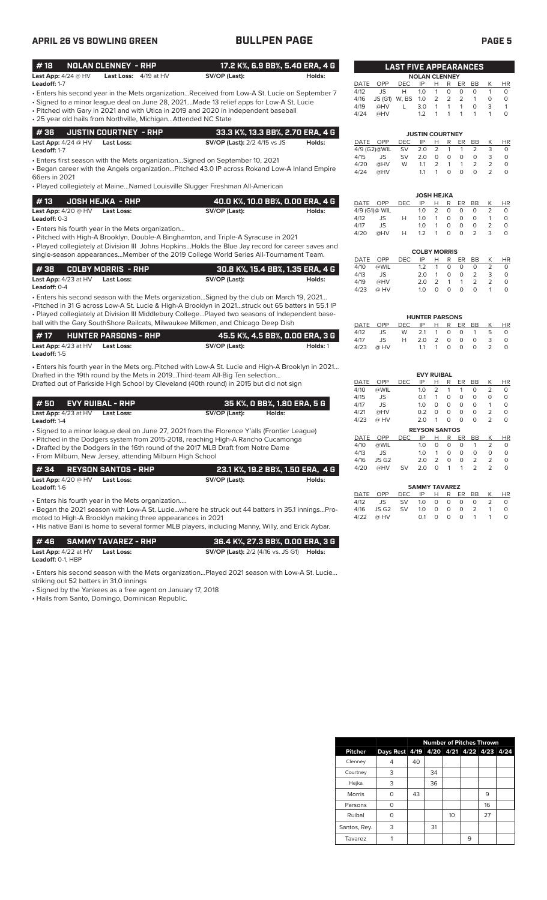# **APRIL 26 VS BOWLING GREEN BULLPEN PAGE PAGE 5**

| l #18                              | NOLAN CLENNEY - RHP            |               | 17.2 K%, 6.9 BB%, 5.40 ERA, 4 G |
|------------------------------------|--------------------------------|---------------|---------------------------------|
| <b>Last App:</b> $4/24 \otimes HV$ | <b>Last Loss:</b> $4/19$ at HV | SV/OP (Last): | Holds:                          |
| Leadoff: 1-7                       |                                |               |                                 |

- Enters his second year in the Mets organization...Received from Low-A St. Lucie on September 7
- Signed to a minor league deal on June 28, 2021....Made 13 relief apps for Low-A St. Lucie
- Pitched with Gary in 2021 and with Utica in 2019 and 2020 in independent baseball • 25 year old hails from Northville, Michigan...Attended NC State

|                                    |            | 33.3 K%, 13.3 BB%, 2.70 ERA, 4 G    |        |
|------------------------------------|------------|-------------------------------------|--------|
| <b>Last App:</b> $4/24 \oslash HV$ | Last Loss: | <b>SV/OP (Last):</b> 2/2 4/15 vs JS | Holds: |

**Leadoff:** 1-7

• Enters first season with the Mets organization…Signed on September 10, 2021

• Began career with the Angels organization…Pitched 43.0 IP across Rokand Low-A Inland Empire 66ers in 2021

• Played collegiately at Maine…Named Louisville Slugger Freshman All-American

|                              |            | 40.0 K%. 10.0 BB%. 0.00 ERA. 4 G |        |
|------------------------------|------------|----------------------------------|--------|
| <b>Last App:</b> $4/20 @ HV$ | Last Loss: | SV/OP (Last):                    | Holds: |
| <b>Leadoff:</b> 0-3          |            |                                  |        |

• Enters his fourth year in the Mets organization…

• Pitched with High-A Brooklyn, Double-A Binghamton, and Triple-A Syracuse in 2021

• Played collegiately at Division III Johns Hopkins…Holds the Blue Jay record for career saves and single-season appearances…Member of the 2019 College World Series All-Tournament Team.

|                     |                                 |            | 30.8 K%, 15.4 BB%, 1.35 ERA, 4 G |        |
|---------------------|---------------------------------|------------|----------------------------------|--------|
|                     | <b>Last App:</b> $4/23$ at $HV$ | Last Loss: | SV/OP (Last):                    | Holds: |
| <b>Leadoff: 0-4</b> |                                 |            |                                  |        |

• Enters his second season with the Mets organization…Signed by the club on March 19, 2021… •Pitched in 31 G across Low-A St. Lucie & High-A Brooklyn in 2021…struck out 65 batters in 55.1 IP • Played collegiately at Division III Middlebury College…Played two seasons of Independent baseball with the Gary SouthShore Railcats, Milwaukee Milkmen, and Chicago Deep Dish

| l #17               |                                 | <b>HUNTER PARSONS - RHP</b> |               |          |
|---------------------|---------------------------------|-----------------------------|---------------|----------|
|                     | <b>Last App:</b> $4/23$ at $HV$ | Last Loss:                  | SV/OP (Last): | Holds: 1 |
| <b>Leadoff:</b> 1-5 |                                 |                             |               |          |

• Enters his fourth year in the Mets org..Pitched with Low-A St. Lucie and High-A Brooklyn in 2021… Drafted in the 19th round by the Mets in 2019...Third-team All-Big Ten selection… Drafted out of Parkside High School by Cleveland (40th round) in 2015 but did not sign

| $# 50$ EVY RUIBAL - RHP .       |            |               | 35 K%, O BB%, 1.80 ERA, 5 G |
|---------------------------------|------------|---------------|-----------------------------|
| <b>Last App:</b> $4/23$ at $HV$ | Last Loss: | SV/OP (Last): | Holds:                      |

**Leadoff:** 1-4

• Signed to a minor league deal on June 27, 2021 from the Florence Y'alls (Frontier League)

• Pitched in the Dodgers system from 2015-2018, reaching High-A Rancho Cucamonga

• Drafted by the Dodgers in the 16th round of the 2017 MLB Draft from Notre Dame • From Milburn, New Jersey, attending Milburn High School

| #34 REYSON SANTOS - RHP                           |                   |                                                                                              | 23.1 K%, 19.2 BB%, 1.50 ERA, 4 G |
|---------------------------------------------------|-------------------|----------------------------------------------------------------------------------------------|----------------------------------|
| Last App: $4/20$ @ HV<br>Leadoff: 1-6             | <b>Last Loss:</b> | SV/OP (Last):                                                                                | Holds:                           |
| • Enters his fourth year in the Mets organization |                   | Began the 2021 season with Low-A St. Luciewhere he struck out 44 batters in 35.1 inningsPro- |                                  |

moted to High-A Brooklyn making three appearances in 2021

• His native Bani is home to several former MLB players, including Manny, Willy, and Erick Aybar.

|                             | #46 SAMMY TAVAREZ - RHP | 36.4 K%. 27.3 BB%. 0.00 ERA. 3 G                        |  |
|-----------------------------|-------------------------|---------------------------------------------------------|--|
| <b>Last App:</b> 4/22 at HV | Last Loss:              | <b>SV/OP (Last):</b> 2/2 (4/16 vs. JS G1) <b>Holds:</b> |  |
| <b>Leadoff:</b> 0-1. HBP    |                         |                                                         |  |

• Enters his second season with the Mets organization…Played 2021 season with Low-A St. Lucie…

striking out 52 batters in 31.0 innings

• Signed by the Yankees as a free agent on January 17, 2018

• Hails from Santo, Domingo, Dominican Republic.

|                      | LASI FIVE APPEARANGES          |                 |    |  |           |                |              |                         |    |  |  |
|----------------------|--------------------------------|-----------------|----|--|-----------|----------------|--------------|-------------------------|----|--|--|
| <b>NOLAN CLENNEY</b> |                                |                 |    |  |           |                |              |                         |    |  |  |
|                      | DATE OPP DEC IP H R ER BB K    |                 |    |  |           |                |              |                         | HR |  |  |
|                      | 4/12 JS H 1.0 1 0 0            |                 |    |  |           |                | $\circ$      |                         | O  |  |  |
|                      | 4/16 JS (G1) W, BS 1.0 2 2 2 1 |                 |    |  |           |                |              | O                       | O  |  |  |
| 4/19                 |                                | @HV L 3.0 1 1 1 |    |  |           |                | $\Omega$     | $\overline{\mathbf{3}}$ |    |  |  |
| 4/24                 | @HV                            |                 | 12 |  | $1 \quad$ | $\overline{1}$ | $\mathbf{1}$ |                         |    |  |  |

**LAST FIVE APPEARANCES**

|          |                         |           | <b>JUSTIN COURTNEY</b> |               |    |    |               |   |           |
|----------|-------------------------|-----------|------------------------|---------------|----|----|---------------|---|-----------|
| DATE OPP |                         | DEC.      | IP                     | H.            | R  | ER | <b>BB</b>     |   | <b>HR</b> |
|          | 4/9 (G2)@WIL SV 2.0 2 1 |           |                        |               |    | 1  | $\mathcal{P}$ | 3 | O         |
| 4/15     | JS.                     | <b>SV</b> | 2.0                    | O             | O  | Ω  | O             | 3 | Ω         |
| 4/20     | @HV                     | W         | 11                     | $\mathcal{P}$ | 1. |    | $\mathcal{P}$ |   | $\Omega$  |
| 4/24     | @HV                     |           | 11                     |               |    |    | O             |   |           |

| <b>JOSH HEJKA</b> |               |     |            |               |   |          |    |   |           |  |
|-------------------|---------------|-----|------------|---------------|---|----------|----|---|-----------|--|
| DATE OPP          |               | DEC | IP         | н             | R | ER       | BB |   | <b>HR</b> |  |
|                   | 4/9 (G1)@ WIL |     | 1.0        | $\mathcal{L}$ | O | 0        | O  |   |           |  |
| 4/12              | JS.           | н   | 1 $\Omega$ | 1             | O | 0        | O  |   |           |  |
| 4/17              | JS.           |     | 1 $\Omega$ |               | O | Ο        | O  | 2 | O         |  |
| 4/20              | @HV           | н   | 12         |               | O | $^{(1)}$ | 2  | 3 |           |  |

|          |      |      | <b>COLBY MORRIS</b> |               |          |    |               |   |           |
|----------|------|------|---------------------|---------------|----------|----|---------------|---|-----------|
| DATE OPP |      | DEC. | IP                  | н             | R        | ER | BB            | к | <b>HR</b> |
| 4/10     | @WIL |      | 12                  |               | O        | O  | $\Omega$      |   | O         |
| 4/13     | JS.  |      | 2 O                 |               | O        | O  | 2             | 3 | O         |
| 4/19     | @HV  |      | 2 O                 | $\mathcal{P}$ | 1        | 1  | $\mathcal{P}$ |   | O         |
| 4/23     | @ HV |      | 1 $\Omega$          |               | $^{(1)}$ | Ω  | O             |   | O         |

| <b>HUNTER PARSONS</b> |           |                  |             |                |        |          |              |    |    |  |
|-----------------------|-----------|------------------|-------------|----------------|--------|----------|--------------|----|----|--|
| DATE OPP              |           | DEC IP H R ER BB |             |                |        |          |              |    | HR |  |
| 4/12                  | <b>JS</b> | W.               | 2.1 1 0 0 1 |                |        |          |              | Б. | O  |  |
| 4/17                  | JS.       | H                | 20 2 0 0    |                |        |          | $\Omega$     | 3  | O  |  |
| 4/23                  | @ HV      |                  | 11          | $\overline{1}$ | $\cap$ | $\Omega$ | <sup>o</sup> |    |    |  |

| <b>EVY RUIBAL</b> |       |            |                      |                |          |          |                |                |           |
|-------------------|-------|------------|----------------------|----------------|----------|----------|----------------|----------------|-----------|
| DATE              | OPP   | <b>DEC</b> | IP                   | н              | R        | ER       | <b>BB</b>      | Κ              | HR        |
| 4/10              | @WIL  |            | 1.0                  | $\overline{2}$ | 1        | 1        | 0              | $\overline{2}$ | $\Omega$  |
| 4/15              | JS.   |            | 0.1                  | 1              | Ο        | Ο        | 0              | $\Omega$       | 0         |
| 4/17              | JS    |            | 1.0                  | Ο              | 0        | O        | 0              | 1              | 0         |
| 4/21              | @HV   |            | 0.2                  | O              | O        | 0        | O              | $\overline{2}$ | 0         |
| 4/23              | @ HV  |            | 2.0                  | 1              | Ο        | O        | 0              | $\overline{2}$ | $\Omega$  |
|                   |       |            | <b>REYSON SANTOS</b> |                |          |          |                |                |           |
| DATE              | OPP   | DEC        | IP                   | н              | R        | ER       | <b>BB</b>      | Κ              | <b>HR</b> |
| 4/10              | @WIL  |            | 1.0                  | $\Omega$       | O        | 0        | 1              | $\overline{2}$ | $\Omega$  |
| 4/13              | JS    |            | 1.0                  | 1              | $\Omega$ | $\Omega$ | 0              | $\Omega$       | O         |
| 4/16              | JS G2 |            | 2.0                  | $\overline{2}$ | O        | O        | 2              | $\overline{2}$ | $\Omega$  |
| 4/20              | @HV   | SV         | 2.0                  | ი              | 1        | 1        | $\overline{2}$ | $\overline{2}$ | O         |

|                           | <b>SAMMY TAVAREZ</b> |          |  |       |    |
|---------------------------|----------------------|----------|--|-------|----|
| DATE OPP DECIPH RERBBK HR |                      |          |  |       |    |
| 4/12 JS SV 1.0 0 0 0 0    |                      |          |  |       | O. |
| 4/16 JSG2 SV 1.0 0 0 0 2  |                      |          |  |       |    |
| 4/22 @ HV                 | 01                   | $\Omega$ |  | 0 0 1 |    |

|                | <b>Number of Pitches Thrown</b>         |    |    |    |   |    |  |  |
|----------------|-----------------------------------------|----|----|----|---|----|--|--|
| <b>Pitcher</b> | Days Rest 4/19 4/20 4/21 4/22 4/23 4/24 |    |    |    |   |    |  |  |
| Clenney        |                                         | 40 |    |    |   |    |  |  |
| Courtney       | 3                                       |    | 34 |    |   |    |  |  |
| Hejka          | 3                                       |    | 36 |    |   |    |  |  |
| <b>Morris</b>  |                                         | 43 |    |    |   | 9  |  |  |
| Parsons        | ∩                                       |    |    |    |   | 16 |  |  |
| Ruibal         |                                         |    |    | 10 |   | 27 |  |  |
| Santos, Rey.   | 3                                       |    | 31 |    |   |    |  |  |
| Tavarez        |                                         |    |    |    | 9 |    |  |  |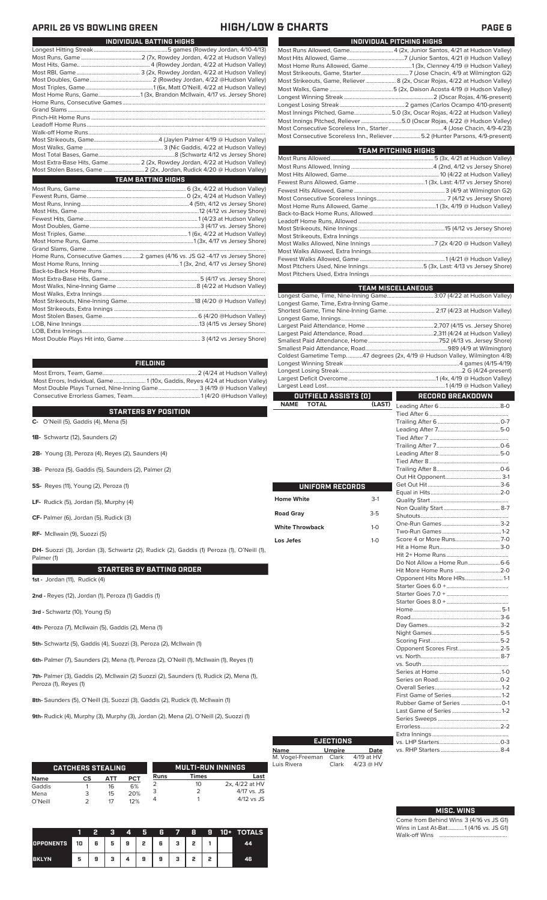# **APRIL 26 VS BOWLING GREEN HIGH/LOW & CHARTS PAGE 6**

| INDIVIDUAL BATTING HIGHS                                                   |
|----------------------------------------------------------------------------|
|                                                                            |
|                                                                            |
|                                                                            |
|                                                                            |
|                                                                            |
|                                                                            |
| Most Home Runs, Game1 (3x, Brandon McIlwain, 4/17 vs. Jersey Shore)        |
|                                                                            |
|                                                                            |
|                                                                            |
|                                                                            |
|                                                                            |
|                                                                            |
|                                                                            |
|                                                                            |
| Most Extra-Base Hits, Game 2 (2x, Rowdey Jordan, 4/22 at Hudson Valley)    |
|                                                                            |
| <b>TEAM BATTING HIGHS</b>                                                  |
|                                                                            |
|                                                                            |
|                                                                            |
|                                                                            |
|                                                                            |
|                                                                            |
|                                                                            |
|                                                                            |
|                                                                            |
| Home Runs, Consecutive Games2 games (4/16 vs. JS G2 -4/17 vs Jersey Shore) |
|                                                                            |
|                                                                            |
|                                                                            |
|                                                                            |
|                                                                            |
|                                                                            |
|                                                                            |
|                                                                            |
|                                                                            |
|                                                                            |
|                                                                            |

### **FIELDING**

Most Errors, Team, Game..................................................................2 (4/24 at Hudson Valley) . 1 (10x, Gaddis, Reyes 4/24 at Hudson Valley)<br>Game.............................. 3 (4/19 @ Hudson Vallev) Most Double Plays Turned, Nine-Inning Game............................ 3 (4/19 @ Hudson Valley) Consecutive Errorless Games, Team...

## **STARTERS BY POSITION**

**C-** O'Neill (5), Gaddis (4), Mena (5)

- **1B-** Schwartz (12), Saunders (2)
- **2B-** Young (3), Peroza (4), Reyes (2), Saunders (4)
- **3B-** Peroza (5), Gaddis (5), Saunders (2), Palmer (2)
- **SS-** Reyes (11), Young (2), Peroza (1)
- **LF-** Rudick (5), Jordan (5), Murphy (4)
- **CF-** Palmer (6), Jordan (5), Rudick (3)
- **RF-** McIlwain (9), Suozzi (5)

**DH-** Suozzi (3), Jordan (3), Schwartz (2), Rudick (2), Gaddis (1) Peroza (1), O'Neill (1), Palmer (1)

## **STARTERS BY BATTING ORDER**

**1st -** Jordan (11), Rudick (4)

- **2nd -** Reyes (12), Jordan (1), Peroza (1) Gaddis (1)
- **3rd** Schwartz (10), Young (5)
- **4th-** Peroza (7), McIlwain (5), Gaddis (2), Mena (1)
- **5th-** Schwartz (5), Gaddis (4), Suozzi (3), Peroza (2), McIlwain (1)
- **6th-** Palmer (7), Saunders (2), Mena (1), Peroza (2), O'Neill (1), McIlwain (1), Reyes (1)

**7th-** Palmer (3), Gaddis (2), McIlwain (2) Suozzi (2), Saunders (1), Rudick (2), Mena (1), Peroza (1), Reyes (1)

**8th-** Saunders (5), O'Neill (3), Suozzi (3), Gaddis (2), Rudick (1), McIlwain (1)

**9th-** Rudick (4), Murphy (3), Murphy (3), Jordan (2), Mena (2), O'Neill (2), Suozzi (1)

|             | <b>CATCHERS STEALING</b> |     |            |             | <b>MULTI-RUN INNINGS</b> |                |
|-------------|--------------------------|-----|------------|-------------|--------------------------|----------------|
| <b>Name</b> | СS                       | АТТ | <b>PCT</b> | <b>Runs</b> | Times                    | Last           |
| Gaddis      |                          | 16  | 6%         |             | 10                       | 2x, 4/22 at HV |
| Mena        |                          | 15  | 20%        |             |                          | 4/17 vs. JS    |
| O'Neill     |                          | 17  | 12%        |             |                          | $4/12$ vs JS   |

|                  |                   |   |   | 4 | G     | R | - 7 | я | 9 | $10+$ | <b>TOTALS</b> |
|------------------|-------------------|---|---|---|-------|---|-----|---|---|-------|---------------|
| <b>OPPONENTS</b> | $\blacksquare$ 10 | 6 | 5 |   | 9   2 | 6 | з   | 2 |   |       | 44            |
| <b>BKLYN</b>     | 5                 | 9 | ٠ | 4 | 9     | 9 | з   | o | ٠ |       | 46.           |

| INDIVIDUAL PITCHING HIGHS                                                    |  |
|------------------------------------------------------------------------------|--|
| Most Runs Allowed, Game 4 (2x, Junior Santos, 4/21 at Hudson Valley)         |  |
|                                                                              |  |
|                                                                              |  |
|                                                                              |  |
| Most Strikeouts, Game, Reliever 8 (2x, Oscar Rojas, 4/22 at Hudson Valley)   |  |
|                                                                              |  |
|                                                                              |  |
|                                                                              |  |
| Most Innings Pitched, Game5.0 (3x, Oscar Rojas, 4/22 at Hudson Valley)       |  |
| Most Innings Pitched, Reliever 5.0 (Oscar Rojas, 4/22 @ Hudson Valley)       |  |
|                                                                              |  |
| Most Consecutive Scoreless Inn., Reliever  5.2 (Hunter Parsons, 4/9-present) |  |

| <b>TEAM PITCHING HIGHS</b> |  |
|----------------------------|--|
|                            |  |
|                            |  |
|                            |  |
|                            |  |
|                            |  |
|                            |  |
|                            |  |
|                            |  |
|                            |  |
|                            |  |
|                            |  |
|                            |  |
|                            |  |
|                            |  |
|                            |  |
|                            |  |

|                             |         | <b>TEAM MISCELLANEOUS</b>                                                    |  |
|-----------------------------|---------|------------------------------------------------------------------------------|--|
|                             |         | Longest Game, Time, Nine-Inning Game 3:07 (4/22 at Hudson Valley)            |  |
|                             |         |                                                                              |  |
|                             |         | Shortest Game, Time Nine-Inning Game.  2:17 (4/23 at Hudson Valley)          |  |
|                             |         |                                                                              |  |
|                             |         |                                                                              |  |
|                             |         |                                                                              |  |
|                             |         |                                                                              |  |
|                             |         |                                                                              |  |
|                             |         | Coldest Gametime Temp. 47 degrees (2x, 4/19 @ Hudson Valley, Wilmington 4/8) |  |
|                             |         |                                                                              |  |
|                             |         |                                                                              |  |
|                             |         |                                                                              |  |
|                             |         |                                                                              |  |
| <b>OUTFIELD ASSISTS [O]</b> |         | RECORD BREAKDOWN                                                             |  |
| <b>NAME</b><br><b>TOTAL</b> | (LAST)  |                                                                              |  |
|                             |         |                                                                              |  |
|                             |         |                                                                              |  |
|                             |         |                                                                              |  |
|                             |         |                                                                              |  |
|                             |         |                                                                              |  |
|                             |         |                                                                              |  |
|                             |         |                                                                              |  |
|                             |         |                                                                              |  |
|                             |         |                                                                              |  |
|                             |         |                                                                              |  |
| UNIFORM RECORDS             |         |                                                                              |  |
| <b>Home White</b>           | $3-1$   |                                                                              |  |
|                             |         |                                                                              |  |
| <b>Road Gray</b>            | $3-5$   |                                                                              |  |
|                             |         |                                                                              |  |
| <b>White Throwback</b>      | $1 - 0$ |                                                                              |  |
| <b>Los Jefes</b>            | $1 - 0$ |                                                                              |  |
|                             |         |                                                                              |  |
|                             |         |                                                                              |  |
|                             |         |                                                                              |  |
|                             |         |                                                                              |  |
|                             |         | Opponent Hits More HRs1-1                                                    |  |
|                             |         |                                                                              |  |
|                             |         |                                                                              |  |
|                             |         |                                                                              |  |
|                             |         |                                                                              |  |
|                             |         |                                                                              |  |
|                             |         |                                                                              |  |
|                             |         |                                                                              |  |
|                             |         |                                                                              |  |
|                             |         | Opponent Scores First 2-5                                                    |  |
|                             |         |                                                                              |  |
|                             |         |                                                                              |  |
|                             |         |                                                                              |  |
|                             |         |                                                                              |  |
|                             |         |                                                                              |  |
|                             |         |                                                                              |  |
|                             |         |                                                                              |  |
|                             |         |                                                                              |  |
|                             |         |                                                                              |  |

|                                 | <b>EJECTIONS</b> |                           |
|---------------------------------|------------------|---------------------------|
| Name                            | <b>Umpire</b>    | Date                      |
| M. Vogel-Freeman<br>Luis Rivera | Clark<br>Clark   | 4/19 at HV<br>$4/23$ @ HV |

Г

### **MISC. WINS**

Come from Behind Wins 3 (4/16 vs JS G1) Wins in Last At-Bat...........1 (4/16 vs. JS G1) Walk-off Wins

Series Sweeps ................................................. Errorless.......................................................2-2 Extra Innings ..................................................... vs. LHP Starters..........................................0-3

vs. RHP Starters ...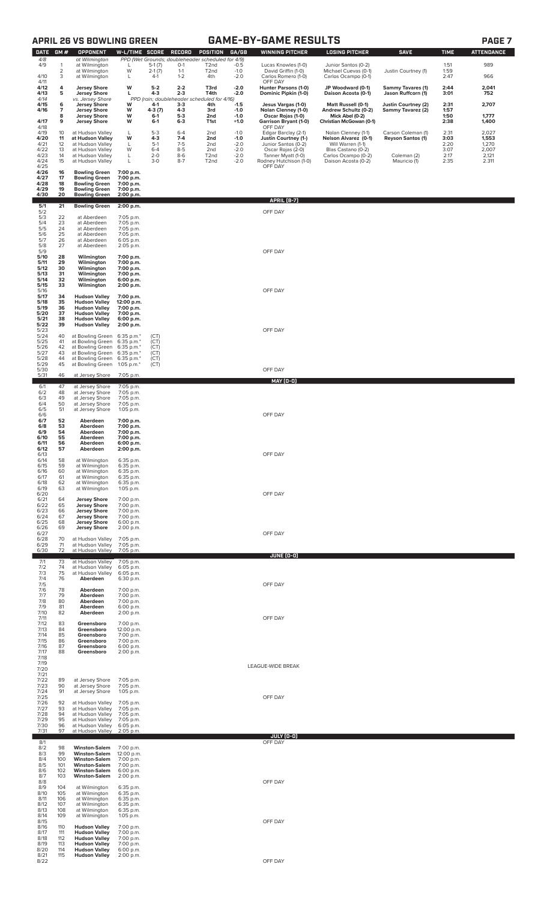|                      |                     | <b>APRIL 26 VS BOWLING GREEN</b>                                     |                                           |                             |                           |                                                                                             |                            | <b>GAME-BY-GAME RESULTS</b>                                             |                                                                 |                                                |                      | <b>PAGE 7</b>           |
|----------------------|---------------------|----------------------------------------------------------------------|-------------------------------------------|-----------------------------|---------------------------|---------------------------------------------------------------------------------------------|----------------------------|-------------------------------------------------------------------------|-----------------------------------------------------------------|------------------------------------------------|----------------------|-------------------------|
| <b>DATE</b>          | GM#                 | <b>OPPONENT</b>                                                      | W-L/TIME SCORE                            |                             | <b>RECORD</b>             | <b>POSITION</b>                                                                             | GA/GB                      | <b>WINNING PITCHER</b>                                                  | <b>LOSING PITCHER</b>                                           | <b>SAVE</b>                                    | <b>TIME</b>          | <b>ATTENDANCE</b>       |
| 4/8<br>4/9           | $\mathbf{1}$<br>2   | at Wilmington<br>at Wilmington<br>at Wilmington                      | L<br>W                                    | $5-1(7)$<br>$2-1(7)$        | $O-1$<br>$1 - 1$          | PPD (Wet Grounds; doubleheader scheduled for 4/9)<br>T <sub>2</sub> nd<br>T <sub>2</sub> nd | $-0.5$<br>$-1.0$           | Lucas Knowles (1-0)<br>David Griffin (1-0)                              | Junior Santos (0-2)<br>Michael Cuevas (0-1)                     | Justin Courtney (1)                            | 1:51<br>1:59         | 989                     |
| 4/10<br>4/11         | 3                   | at Wilmington                                                        | L                                         | $4-1$                       | $1 - 2$                   | 4th                                                                                         | $-2.0$                     | Carlos Romero (1-0)<br>OFF DAY                                          | Carlos Ocampo (0-1)                                             |                                                | 2:47                 | 966                     |
| 4/12<br>4/13<br>4/14 | 4<br>5              | <b>Jersey Shore</b><br><b>Jersey Shore</b><br>vs. Jersey Shore       | W<br>L                                    | $5 - 2$<br>$4 - 3$          | $2 - 2$<br>$2 - 3$        | T3rd<br>T4th<br>PPD (rain; doubleheader scheduled for 4/16)                                 | $-2.0$<br>$-2.0$           | Hunter Parsons (1-0)<br>Dominic Pipkin (1-0)                            | JP Woodward (0-1)<br>Daison Acosta (0-1)                        | <b>Sammy Tavares (1)</b><br>Jason Ruffcorn (1) | 2:44<br>3:01         | 2,041<br>752            |
| 4/15<br>4/16         | 6<br>$\overline{7}$ | <b>Jersey Shore</b><br><b>Jersey Shore</b>                           | w<br>W                                    | 4-1<br>$4-3(7)$             | $3 - 3$<br>$4-3$          | 4th<br>3rd                                                                                  | $-1.5$<br>$-1.0$           | Jesus Vargas (1-0)<br>Nolan Clenney (1-0)                               | Matt Russell (0-1)<br>Andrew Schultz (0-2)                      | Justin Courtney (2)<br>Sammy Tavarez (2)       | 2:31<br>1:57         | 2,707                   |
| 4/17                 | 8<br>9              | <b>Jersey Shore</b><br><b>Jersey Shore</b>                           | W<br>W                                    | $6-1$<br>$6 - 1$            | $5-3$<br>$6 - 3$          | 2nd<br>T1st                                                                                 | $-1.0$<br>$+1.0$           | Oscar Rojas (1-0)<br><b>Garrison Bryant (1-0)</b>                       | Mick Abel (0-2)<br>Christian McGowan (0-1)                      |                                                | 1:50<br>2:38         | 1,777<br>1,400          |
| 4/18<br>4/19         | 10                  | at Hudson Valley                                                     | L                                         | $5-3$                       | $6 - 4$                   | 2nd                                                                                         | $-1.0$                     | OFF DAY<br>Edgar Barclay (2-1)                                          | Nolan Clenney (1-1)                                             | Carson Coleman (1)                             | 2:31                 | 2,027                   |
| 4/20<br>4/21<br>4/22 | 11<br>12<br>13      | at Hudson Valley<br>at Hudson Valley<br>at Hudson Valley             | W<br>L<br>W                               | $4 - 3$<br>$5-1$<br>$6 - 4$ | $7-4$<br>$7-5$<br>$8 - 5$ | 2 <sub>nd</sub><br>2 <sub>nd</sub><br>2 <sub>nd</sub>                                       | $-1.0$<br>$-2.0$<br>$-2.0$ | <b>Justin Courtney (1-)</b><br>Junior Santos (0-2)<br>Oscar Rojas (2-0) | Nelson Alvarez (0-1)<br>Will Warren (1-1)<br>Blas Castano (0-2) | <b>Reyson Santos (1)</b>                       | 3:03<br>2:20<br>3:07 | 1,553<br>1,270<br>2,007 |
| 4/23<br>4/24         | 14<br>15            | at Hudson Valley<br>at Hudson Valley                                 | L<br>L                                    | $2 - 0$<br>$3-0$            | $8-6$<br>$8 - 7$          | T2nd<br>T2nd                                                                                | $-2.0$<br>$-2.0$           | Tanner Myatt (1-0)<br>Rodney Hutchison (1-0)                            | Carlos Ocampo (0-2)<br>Daison Acosta (0-2)                      | Coleman (2)<br>Mauricio (1)                    | 2:17<br>2:35         | 2,121<br>2.311          |
| 4/25<br>4/26<br>4/27 | 16<br>17            | <b>Bowling Green</b><br><b>Bowling Green</b>                         | 7:00 p.m.<br>7:00 p.m.                    |                             |                           |                                                                                             |                            | OFF DAY                                                                 |                                                                 |                                                |                      |                         |
| 4/28<br>4/29         | 18<br>19            | <b>Bowling Green</b><br><b>Bowling Green</b>                         | 7:00 p.m.<br>7:00 p.m.                    |                             |                           |                                                                                             |                            |                                                                         |                                                                 |                                                |                      |                         |
| 4/30                 | 20                  | <b>Bowling Green</b>                                                 | 2:00 p.m.                                 |                             |                           |                                                                                             |                            | <b>APRIL [8-7]</b>                                                      |                                                                 |                                                |                      |                         |
| 5/1<br>5/2<br>5/3    | 21<br>22            | <b>Bowling Green</b><br>at Aberdeen                                  | 2:00 p.m.<br>7:05 p.m.                    |                             |                           |                                                                                             |                            | OFF DAY                                                                 |                                                                 |                                                |                      |                         |
| 5/4<br>5/5           | 23<br>24            | at Aberdeen<br>at Aberdeen                                           | 7:05 p.m.<br>7:05 p.m.                    |                             |                           |                                                                                             |                            |                                                                         |                                                                 |                                                |                      |                         |
| 5/6<br>5/7<br>5/8    | 25<br>26            | at Aberdeen<br>at Aberdeen                                           | 7:05 p.m.<br>6:05 p.m.                    |                             |                           |                                                                                             |                            |                                                                         |                                                                 |                                                |                      |                         |
| 5/9<br>5/10          | 27<br>28            | at Aberdeen<br>Wilmington                                            | 2:05 p.m.<br>7:00 p.m.                    |                             |                           |                                                                                             |                            | OFF DAY                                                                 |                                                                 |                                                |                      |                         |
| 5/11<br>5/12         | 29<br>30            | Wilmington<br>Wilmington                                             | 7:00 p.m.<br>7:00 p.m.                    |                             |                           |                                                                                             |                            |                                                                         |                                                                 |                                                |                      |                         |
| 5/13<br>5/14<br>5/15 | 31<br>32<br>33      | Wilmington<br>Wilmington<br>Wilmington                               | 7:00 p.m.<br>6:00 p.m.<br>2:00 p.m.       |                             |                           |                                                                                             |                            |                                                                         |                                                                 |                                                |                      |                         |
| 5/16<br>5/17         | 34                  | <b>Hudson Valley</b>                                                 | 7:00 p.m.                                 |                             |                           |                                                                                             |                            | OFF DAY                                                                 |                                                                 |                                                |                      |                         |
| 5/18<br>5/19         | 35<br>36            | <b>Hudson Valley</b><br><b>Hudson Valley</b>                         | 12:00 p.m.<br>7:00 p.m.                   |                             |                           |                                                                                             |                            |                                                                         |                                                                 |                                                |                      |                         |
| 5/20<br>5/21<br>5/22 | 37<br>38<br>39      | <b>Hudson Valley</b><br><b>Hudson Valley</b><br><b>Hudson Valley</b> | 7:00 p.m.<br>6:00 p.m.<br>2:00 p.m.       |                             |                           |                                                                                             |                            |                                                                         |                                                                 |                                                |                      |                         |
| 5/23<br>5/24         | 40                  | at Bowling Green 6:35 p.m.*                                          |                                           | (CT)                        |                           |                                                                                             |                            | OFF DAY                                                                 |                                                                 |                                                |                      |                         |
| 5/25<br>5/26         | 41<br>42            | at Bowling Green 6:35 p.m.*<br>at Bowling Green 6:35 p.m.*           |                                           | (CT)<br>(CT)                |                           |                                                                                             |                            |                                                                         |                                                                 |                                                |                      |                         |
| 5/27<br>5/28<br>5/29 | 43<br>44<br>45      | at Bowling Green<br>at Bowling Green<br>at Bowling Green             | 6:35 p.m.*<br>6:35 p.m.*<br>1:05 p.m. $*$ | (CT)<br>(CT)<br>(CT)        |                           |                                                                                             |                            |                                                                         |                                                                 |                                                |                      |                         |
| 5/30<br>5/31         | 46                  | at Jersey Shore                                                      | 7:05 p.m.                                 |                             |                           |                                                                                             |                            | OFF DAY                                                                 |                                                                 |                                                |                      |                         |
| 6/1<br>6/2           | 47<br>48            | at Jersey Shore<br>at Jersey Shore                                   | 7:05 p.m.                                 |                             |                           |                                                                                             |                            | <b>MAY (0-0)</b>                                                        |                                                                 |                                                |                      |                         |
| 6/3<br>6/4           | 49<br>50            | at Jersey Shore<br>at Jersey Shore                                   | 7:05 p.m.<br>7:05 p.m.<br>7:05 p.m.       |                             |                           |                                                                                             |                            |                                                                         |                                                                 |                                                |                      |                         |
| 6/5<br>6/6           | 51                  | at Jersey Shore                                                      | 1:05 p.m.                                 |                             |                           |                                                                                             |                            | OFF DAY                                                                 |                                                                 |                                                |                      |                         |
| 6/7<br>6/8<br>6/9    | 52<br>53<br>54      | Aberdeen<br>Aberdeen<br>Aberdeen                                     | 7:00 p.m.<br>7:00 p.m.<br>7:00 p.m.       |                             |                           |                                                                                             |                            |                                                                         |                                                                 |                                                |                      |                         |
| 6/10<br>6/11         | 55<br>56            | Aberdeen<br>Aberdeen                                                 | 7:00 p.m.<br>6:00 p.m.                    |                             |                           |                                                                                             |                            |                                                                         |                                                                 |                                                |                      |                         |
| 6/12<br>6/13<br>6/14 | 57<br>58            | Aberdeen                                                             | 2:00 p.m.                                 |                             |                           |                                                                                             |                            | OFF DAY                                                                 |                                                                 |                                                |                      |                         |
| 6/15<br>6/16         | 59<br>60            | at Wilmington<br>at Wilmington<br>at Wilmington                      | 6:35 p.m.<br>6:35 p.m.<br>6:35 p.m.       |                             |                           |                                                                                             |                            |                                                                         |                                                                 |                                                |                      |                         |
| 6/17<br>6/18         | 61<br>62            | at Wilmington<br>at Wilmington                                       | 6:35 p.m.<br>6:35 p.m.                    |                             |                           |                                                                                             |                            |                                                                         |                                                                 |                                                |                      |                         |
| 6/19<br>6/20<br>6/21 | 63<br>64            | at Wilmington<br><b>Jersey Shore</b>                                 | $1:05$ p.m.<br>7:00 p.m.                  |                             |                           |                                                                                             |                            | OFF DAY                                                                 |                                                                 |                                                |                      |                         |
| 6/22<br>6/23         | 65<br>66            | <b>Jersey Shore</b><br><b>Jersey Shore</b>                           | 7:00 p.m.<br>7:00 p.m.                    |                             |                           |                                                                                             |                            |                                                                         |                                                                 |                                                |                      |                         |
| 6/24<br>6/25         | 67<br>68            | <b>Jersey Shore</b><br><b>Jersey Shore</b>                           | 7:00 p.m.<br>6:00 p.m.                    |                             |                           |                                                                                             |                            |                                                                         |                                                                 |                                                |                      |                         |
| 6/26<br>6/27<br>6/28 | 69<br>70            | <b>Jersey Shore</b><br>at Hudson Valley                              | 2:00 p.m.<br>7:05 p.m.                    |                             |                           |                                                                                             |                            | OFF DAY                                                                 |                                                                 |                                                |                      |                         |
| 6/29<br>6/30         | 71<br>72            | at Hudson Valley<br>at Hudson Valley                                 | 7:05 p.m.<br>7:05 p.m.                    |                             |                           |                                                                                             |                            |                                                                         |                                                                 |                                                |                      |                         |
| 7/1<br>7/2           | 73<br>74            | at Hudson Valley<br>at Hudson Valley                                 | 7:05 p.m.<br>6:05 p.m.                    |                             |                           |                                                                                             |                            | <b>JUNE (0-0)</b>                                                       |                                                                 |                                                |                      |                         |
| 7/3<br>7/4           | 75<br>76            | at Hudson Valley<br>Aberdeen                                         | 6:05 p.m.<br>6:30 p.m.                    |                             |                           |                                                                                             |                            |                                                                         |                                                                 |                                                |                      |                         |
| 7/5<br>7/6<br>7/7    | 78<br>79            | Aberdeen<br>Aberdeen                                                 | 7:00 p.m.<br>7:00 p.m.                    |                             |                           |                                                                                             |                            | OFF DAY                                                                 |                                                                 |                                                |                      |                         |
| 7/8<br>7/9           | 80<br>81            | Aberdeen<br>Aberdeen                                                 | 7:00 p.m.<br>6:00 p.m.                    |                             |                           |                                                                                             |                            |                                                                         |                                                                 |                                                |                      |                         |
| 7/10<br>7/11         | 82                  | Aberdeen                                                             | 2:00 p.m.                                 |                             |                           |                                                                                             |                            | OFF DAY                                                                 |                                                                 |                                                |                      |                         |
| 7/12<br>7/13<br>7/14 | 83<br>84<br>85      | Greensboro<br>Greensboro<br>Greensboro                               | 7:00 p.m.<br>12:00 p.m.<br>7:00 p.m.      |                             |                           |                                                                                             |                            |                                                                         |                                                                 |                                                |                      |                         |
| 7/15<br>7/16         | 86<br>87            | Greensboro<br>Greensboro                                             | 7:00 p.m.<br>6:00 p.m.                    |                             |                           |                                                                                             |                            |                                                                         |                                                                 |                                                |                      |                         |
| 7/17<br>7/18<br>7/19 | 88                  | Greensboro                                                           | 2:00 p.m.                                 |                             |                           |                                                                                             |                            |                                                                         |                                                                 |                                                |                      |                         |
| 7/20<br>7/21         |                     |                                                                      |                                           |                             |                           |                                                                                             |                            | LEAGUE-WIDE BREAK                                                       |                                                                 |                                                |                      |                         |
| 7/22<br>7/23         | 89<br>90            | at Jersey Shore<br>at Jersey Shore                                   | 7:05 p.m.<br>7:05 p.m.                    |                             |                           |                                                                                             |                            |                                                                         |                                                                 |                                                |                      |                         |
| 7/24<br>7/25<br>7/26 | 91<br>92            | at Jersey Shore<br>at Hudson Valley                                  | $1:05$ p.m.<br>7:05 p.m.                  |                             |                           |                                                                                             |                            | OFF DAY                                                                 |                                                                 |                                                |                      |                         |
| 7/27<br>7/28         | 93<br>94            | at Hudson Valley<br>at Hudson Valley                                 | 7:05 p.m.<br>7:05 p.m.                    |                             |                           |                                                                                             |                            |                                                                         |                                                                 |                                                |                      |                         |
| 7/29<br>7/30<br>7/31 | 95<br>96<br>97      | at Hudson Valley<br>at Hudson Valley                                 | 7:05 p.m.<br>6:05 p.m.<br>2:05 p.m.       |                             |                           |                                                                                             |                            |                                                                         |                                                                 |                                                |                      |                         |
| 8/1                  |                     | at Hudson Valley                                                     |                                           |                             |                           |                                                                                             |                            | JULY (0-0)<br>OFF DAY                                                   |                                                                 |                                                |                      |                         |
| 8/2<br>8/3           | 98<br>99            | <b>Winston-Salem</b><br><b>Winston-Salem</b>                         | 7:00 p.m.<br>12:00 p.m.                   |                             |                           |                                                                                             |                            |                                                                         |                                                                 |                                                |                      |                         |
| 8/4<br>8/5<br>8/6    | 100<br>101<br>102   | <b>Winston-Salem</b><br><b>Winston-Salem</b><br><b>Winston-Salem</b> | 7:00 p.m.<br>7:00 p.m.<br>6:00 p.m.       |                             |                           |                                                                                             |                            |                                                                         |                                                                 |                                                |                      |                         |
| 8/7<br>8/8           | 103                 | <b>Winston-Salem</b>                                                 | 2:00 p.m.                                 |                             |                           |                                                                                             |                            | OFF DAY                                                                 |                                                                 |                                                |                      |                         |
| 8/9<br>8/10<br>8/11  | 104<br>105          | at Wilmington<br>at Wilmington<br>at Wilmington                      | 6:35 p.m.<br>6:35 p.m.                    |                             |                           |                                                                                             |                            |                                                                         |                                                                 |                                                |                      |                         |
| 8/12<br>8/13         | 106<br>107<br>108   | at Wilmington<br>at Wilmington                                       | 6:35 p.m.<br>6:35 p.m.<br>6:35 p.m.       |                             |                           |                                                                                             |                            |                                                                         |                                                                 |                                                |                      |                         |
| 8/14<br>8/15         | 109                 | at Wilmington                                                        | 1:05 p.m.                                 |                             |                           |                                                                                             |                            | OFF DAY                                                                 |                                                                 |                                                |                      |                         |
| 8/16<br>8/17<br>8/18 | 110<br>111<br>112   | <b>Hudson Valley</b><br><b>Hudson Valley</b><br><b>Hudson Valley</b> | 7:00 p.m.<br>7:00 p.m.<br>7:00 p.m.       |                             |                           |                                                                                             |                            |                                                                         |                                                                 |                                                |                      |                         |
| 8/19<br>8/20         | 113<br>114          | <b>Hudson Valley</b><br><b>Hudson Valley</b>                         | 7:00 p.m.<br>6:00 p.m.                    |                             |                           |                                                                                             |                            |                                                                         |                                                                 |                                                |                      |                         |
| 8/21<br>8/22         | 115                 | <b>Hudson Valley</b>                                                 | 2:00 p.m.                                 |                             |                           |                                                                                             |                            | OFF DAY                                                                 |                                                                 |                                                |                      |                         |